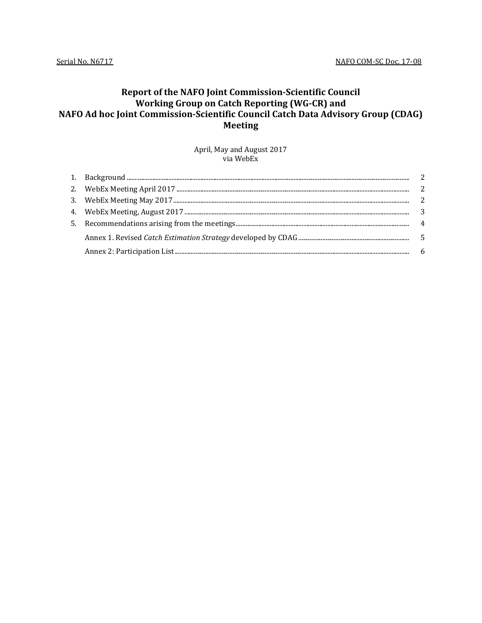## **Report of the NAFO Joint Commission-Scientific Council Working Group on Catch Reporting (WG-CR) and NAFO Ad hoc Joint Commission-Scientific Council Catch Data Advisory Group (CDAG) Meeting**

April, May and August 2017 via WebEx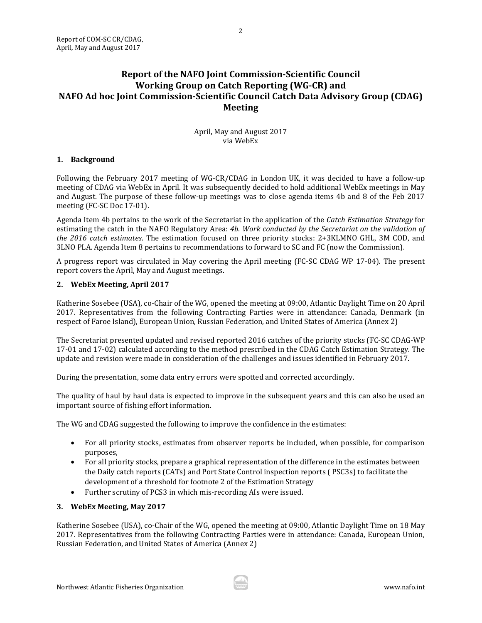### **Report of the NAFO Joint Commission-Scientific Council Working Group on Catch Reporting (WG-CR) and NAFO Ad hoc Joint Commission-Scientific Council Catch Data Advisory Group (CDAG) Meeting**

April, May and August 2017 via WebEx

### <span id="page-1-0"></span>**1. Background**

Following the February 2017 meeting of WG-CR/CDAG in London UK, it was decided to have a follow-up meeting of CDAG via WebEx in April. It was subsequently decided to hold additional WebEx meetings in May and August. The purpose of these follow-up meetings was to close agenda items 4b and 8 of the Feb 2017 meeting (FC-SC Doc 17-01).

Agenda Item 4b pertains to the work of the Secretariat in the application of the *Catch Estimation Strategy* for estimating the catch in the NAFO Regulatory Area: *4b*. *Work conducted by the Secretariat on the validation of the 2016 catch estimates*. The estimation focused on three priority stocks: 2+3KLMNO GHL, 3M COD, and 3LNO PLA. Agenda Item 8 pertains to recommendations to forward to SC and FC (now the Commission).

A progress report was circulated in May covering the April meeting (FC-SC CDAG WP 17-04). The present report covers the April, May and August meetings.

### <span id="page-1-1"></span>**2. WebEx Meeting, April 2017**

Katherine Sosebee (USA), co-Chair of the WG, opened the meeting at 09:00, Atlantic Daylight Time on 20 April 2017. Representatives from the following Contracting Parties were in attendance: Canada, Denmark (in respect of Faroe Island), European Union, Russian Federation, and United States of America (Annex 2)

The Secretariat presented updated and revised reported 2016 catches of the priority stocks (FC-SC CDAG-WP 17-01 and 17-02) calculated according to the method prescribed in the CDAG Catch Estimation Strategy. The update and revision were made in consideration of the challenges and issues identified in February 2017.

During the presentation, some data entry errors were spotted and corrected accordingly.

The quality of haul by haul data is expected to improve in the subsequent years and this can also be used an important source of fishing effort information.

The WG and CDAG suggested the following to improve the confidence in the estimates:

- For all priority stocks, estimates from observer reports be included, when possible, for comparison purposes,
- For all priority stocks, prepare a graphical representation of the difference in the estimates between the Daily catch reports (CATs) and Port State Control inspection reports ( PSC3s) to facilitate the development of a threshold for footnote 2 of the Estimation Strategy
- Further scrutiny of PCS3 in which mis-recording AIs were issued.

#### <span id="page-1-2"></span>**3. WebEx Meeting, May 2017**

Katherine Sosebee (USA), co-Chair of the WG, opened the meeting at 09:00, Atlantic Daylight Time on 18 May 2017. Representatives from the following Contracting Parties were in attendance: Canada, European Union, Russian Federation, and United States of America (Annex 2)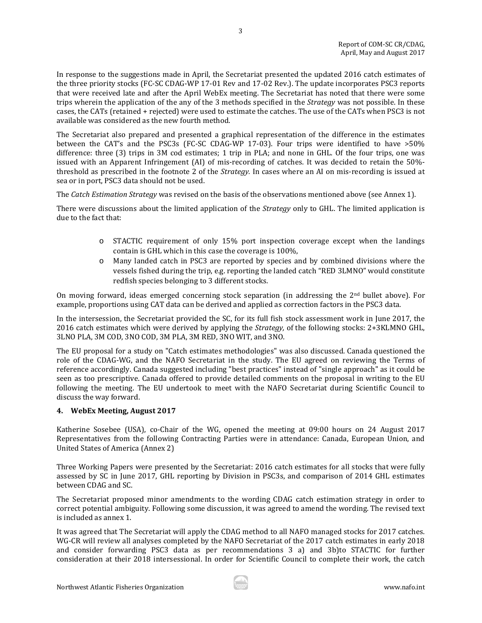In response to the suggestions made in April, the Secretariat presented the updated 2016 catch estimates of the three priority stocks (FC-SC CDAG-WP 17-01 Rev and 17-02 Rev.). The update incorporates PSC3 reports that were received late and after the April WebEx meeting. The Secretariat has noted that there were some trips wherein the application of the any of the 3 methods specified in the *Strategy* was not possible. In these cases, the CATs (retained + rejected) were used to estimate the catches. The use of the CATs when PSC3 is not available was considered as the new fourth method.

3

The Secretariat also prepared and presented a graphical representation of the difference in the estimates between the CAT's and the PSC3s (FC-SC CDAG-WP 17-03). Four trips were identified to have >50% difference: three (3) trips in 3M cod estimates; 1 trip in PLA; and none in GHL. Of the four trips, one was issued with an Apparent Infringement (AI) of mis-recording of catches. It was decided to retain the 50% threshold as prescribed in the footnote 2 of the *Strategy.* In cases where an AI on mis-recording is issued at sea or in port, PSC3 data should not be used.

The *Catch Estimation Strategy* was revised on the basis of the observations mentioned above (see Annex 1).

There were discussions about the limited application of the *Strategy* only to GHL. The limited application is due to the fact that:

- o STACTIC requirement of only 15% port inspection coverage except when the landings contain is GHL which in this case the coverage is 100%,
- o Many landed catch in PSC3 are reported by species and by combined divisions where the vessels fished during the trip, e.g. reporting the landed catch "RED 3LMNO" would constitute redfish species belonging to 3 different stocks.

On moving forward, ideas emerged concerning stock separation (in addressing the 2nd bullet above). For example, proportions using CAT data can be derived and applied as correction factors in the PSC3 data.

In the intersession, the Secretariat provided the SC, for its full fish stock assessment work in June 2017, the 2016 catch estimates which were derived by applying the *Strategy,* of the following stocks: 2+3KLMNO GHL, 3LNO PLA, 3M COD, 3NO COD, 3M PLA, 3M RED, 3NO WIT, and 3NO.

The EU proposal for a study on "Catch estimates methodologies" was also discussed. Canada questioned the role of the CDAG-WG, and the NAFO Secretariat in the study. The EU agreed on reviewing the Terms of reference accordingly. Canada suggested including "best practices" instead of "single approach" as it could be seen as too prescriptive. Canada offered to provide detailed comments on the proposal in writing to the EU following the meeting. The EU undertook to meet with the NAFO Secretariat during Scientific Council to discuss the way forward.

#### <span id="page-2-0"></span>**4. WebEx Meeting, August 2017**

Katherine Sosebee (USA), co-Chair of the WG, opened the meeting at 09:00 hours on 24 August 2017 Representatives from the following Contracting Parties were in attendance: Canada, European Union, and United States of America (Annex 2)

Three Working Papers were presented by the Secretariat: 2016 catch estimates for all stocks that were fully assessed by SC in June 2017, GHL reporting by Division in PSC3s, and comparison of 2014 GHL estimates between CDAG and SC.

The Secretariat proposed minor amendments to the wording CDAG catch estimation strategy in order to correct potential ambiguity. Following some discussion, it was agreed to amend the wording. The revised text is included as annex 1.

It was agreed that The Secretariat will apply the CDAG method to all NAFO managed stocks for 2017 catches. WG-CR will review all analyses completed by the NAFO Secretariat of the 2017 catch estimates in early 2018 and consider forwarding PSC3 data as per recommendations 3 a) and 3b)to STACTIC for further consideration at their 2018 intersessional. In order for Scientific Council to complete their work, the catch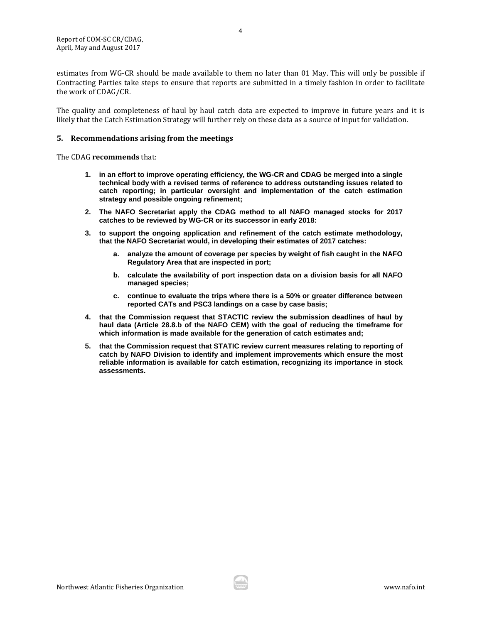estimates from WG-CR should be made available to them no later than 01 May. This will only be possible if Contracting Parties take steps to ensure that reports are submitted in a timely fashion in order to facilitate the work of CDAG/CR.

The quality and completeness of haul by haul catch data are expected to improve in future years and it is likely that the Catch Estimation Strategy will further rely on these data as a source of input for validation.

#### <span id="page-3-0"></span>**5. Recommendations arising from the meetings**

The CDAG **recommends** that:

- **1. in an effort to improve operating efficiency, the WG-CR and CDAG be merged into a single technical body with a revised terms of reference to address outstanding issues related to catch reporting; in particular oversight and implementation of the catch estimation strategy and possible ongoing refinement;**
- **2. The NAFO Secretariat apply the CDAG method to all NAFO managed stocks for 2017 catches to be reviewed by WG-CR or its successor in early 2018:**
- **3. to support the ongoing application and refinement of the catch estimate methodology, that the NAFO Secretariat would, in developing their estimates of 2017 catches:**
	- **a. analyze the amount of coverage per species by weight of fish caught in the NAFO Regulatory Area that are inspected in port;**
	- **b. calculate the availability of port inspection data on a division basis for all NAFO managed species;**
	- **c. continue to evaluate the trips where there is a 50% or greater difference between reported CATs and PSC3 landings on a case by case basis;**
- **4. that the Commission request that STACTIC review the submission deadlines of haul by haul data (Article 28.8.b of the NAFO CEM) with the goal of reducing the timeframe for which information is made available for the generation of catch estimates and;**
- **5. that the Commission request that STATIC review current measures relating to reporting of catch by NAFO Division to identify and implement improvements which ensure the most reliable information is available for catch estimation, recognizing its importance in stock assessments.**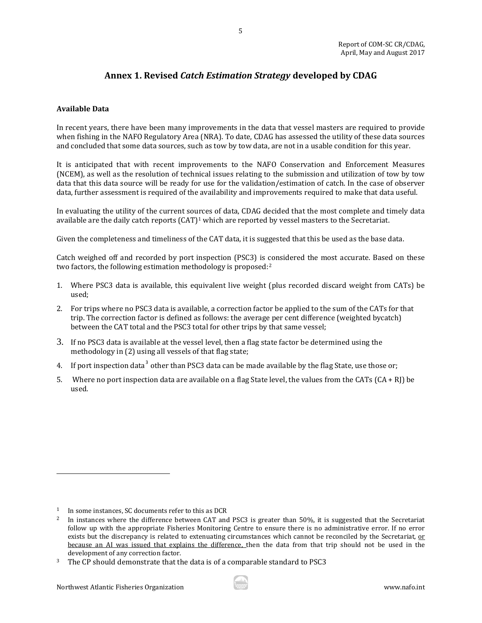### **Annex 1. Revised** *Catch Estimation Strategy* **developed by CDAG**

5

#### <span id="page-4-0"></span>**Available Data**

In recent years, there have been many improvements in the data that vessel masters are required to provide when fishing in the NAFO Regulatory Area (NRA). To date, CDAG has assessed the utility of these data sources and concluded that some data sources, such as tow by tow data, are not in a usable condition for this year.

It is anticipated that with recent improvements to the NAFO Conservation and Enforcement Measures (NCEM), as well as the resolution of technical issues relating to the submission and utilization of tow by tow data that this data source will be ready for use for the validation/estimation of catch. In the case of observer data, further assessment is required of the availability and improvements required to make that data useful.

In evaluating the utility of the current sources of data, CDAG decided that the most complete and timely data available are the daily catch reports  $(CAT)^1$  $(CAT)^1$  which are reported by vessel masters to the Secretariat.

Given the completeness and timeliness of the CAT data, it is suggested that this be used as the base data.

Catch weighed off and recorded by port inspection (PSC3) is considered the most accurate. Based on these two factors, the following estimation methodology is proposed:[2](#page-4-2)

- 1. Where PSC3 data is available, this equivalent live weight (plus recorded discard weight from CATs) be used;
- 2. For trips where no PSC3 data is available, a correction factor be applied to the sum of the CATs for that trip. The correction factor is defined as follows: the average per cent difference (weighted bycatch) between the CAT total and the PSC3 total for other trips by that same vessel;
- 3. If no PSC3 data is available at the vessel level, then a flag state factor be determined using the methodology in (2) using all vessels of that flag state;
- 4. If port inspection data<sup>[3](#page-4-3)</sup> other than PSC3 data can be made available by the flag State, use those or;
- 5. Where no port inspection data are available on a flag State level, the values from the CATs (CA + RJ) be used.

j



<span id="page-4-1"></span> $1$  In some instances, SC documents refer to this as DCR

<span id="page-4-2"></span><sup>2</sup> In instances where the difference between CAT and PSC3 is greater than 50%, it is suggested that the Secretariat follow up with the appropriate Fisheries Monitoring Centre to ensure there is no administrative error. If no error exists but the discrepancy is related to extenuating circumstances which cannot be reconciled by the Secretariat, or because an AI was issued that explains the difference, then the data from that trip should not be used in the development of any correction factor.

<span id="page-4-3"></span><sup>&</sup>lt;sup>3</sup> The CP should demonstrate that the data is of a comparable standard to PSC3